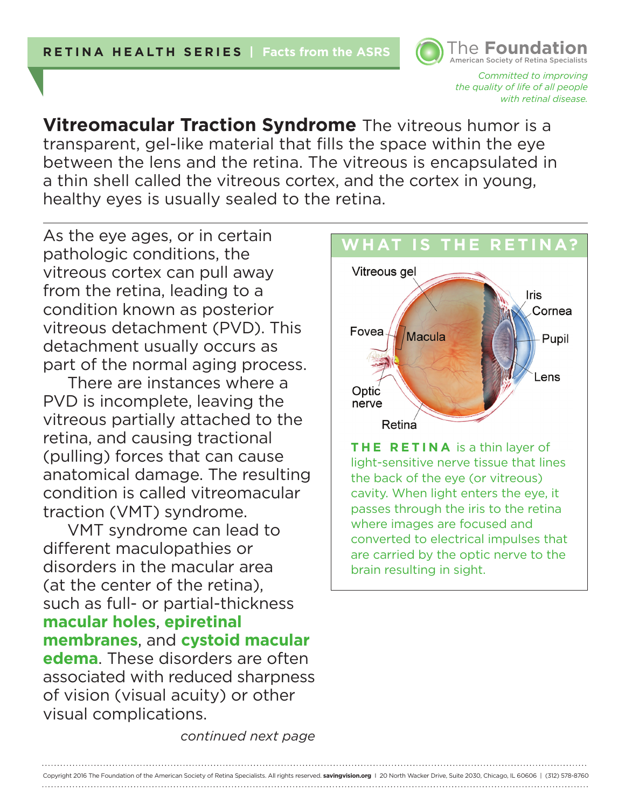*Committed to improving the quality of life of all people with retinal disease.* 

American Society of Retina Specialists **The Foundation** 

**Vitreomacular Traction Syndrome** The vitreous humor is a transparent, gel-like material that fills the space within the eye between the lens and the retina. The vitreous is encapsulated in a thin shell called the vitreous cortex, and the cortex in young, healthy eyes is usually sealed to the retina.

As the eye ages, or in certain pathologic conditions, the vitreous cortex can pull away from the retina, leading to a condition known as posterior vitreous detachment (PVD). This detachment usually occurs as part of the normal aging process.

There are instances where a PVD is incomplete, leaving the vitreous partially attached to the retina, and causing tractional (pulling) forces that can cause anatomical damage. The resulting condition is called vitreomacular traction (VMT) syndrome.

VMT syndrome can lead to different maculopathies or disorders in the macular area (at the center of the retina), such as full- or partial-thickness **macular holes**, **epiretinal membranes**, and **cystoid macular edema**. These disorders are often associated with reduced sharpness of vision (visual acuity) or other visual complications.

**WHAT IS THE RETINA?**Vitreous gel Iris Cornea Fovea **Macula** Pupil ens. Optic nerve Retina

**THE RETINA** is a thin layer of light-sensitive nerve tissue that lines the back of the eye (or vitreous) cavity. When light enters the eye, it passes through the iris to the retina where images are focused and converted to electrical impulses that are carried by the optic nerve to the brain resulting in sight.

*continued next page*

Copyright 2016 The Foundation of the American Society of Retina Specialists. All rights reserved. **savingvision.org** I 20 North Wacker Drive, Suite 2030, Chicago, IL 60606 | (312) 578-8760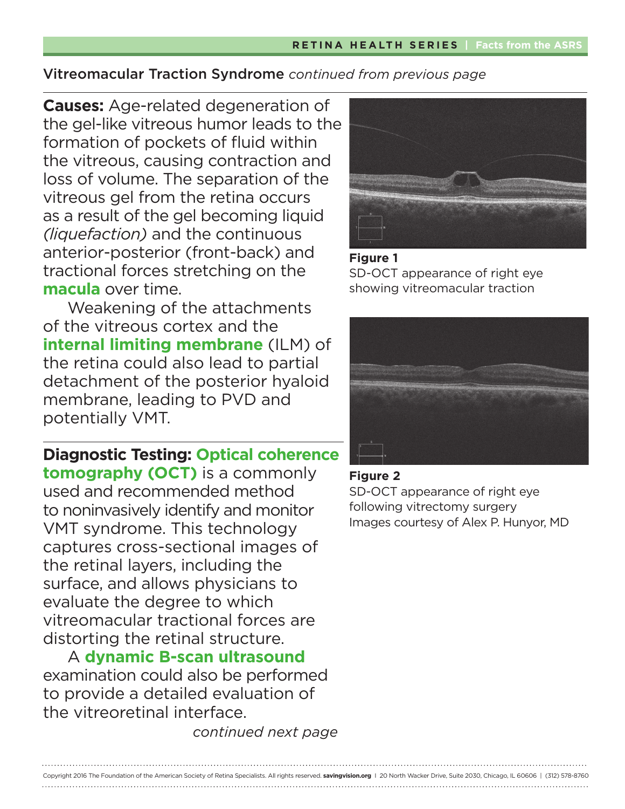**Causes:** Age-related degeneration of the gel-like vitreous humor leads to the formation of pockets of fluid within the vitreous, causing contraction and loss of volume. The separation of the vitreous gel from the retina occurs as a result of the gel becoming liquid *(liquefaction)* and the continuous anterior-posterior (front-back) and tractional forces stretching on the **macula** over time.

Weakening of the attachments of the vitreous cortex and the **internal limiting membrane** (ILM) of the retina could also lead to partial detachment of the posterior hyaloid membrane, leading to PVD and potentially VMT.

## **Diagnostic Testing: Optical coherence**

**tomography (OCT)** is a commonly used and recommended method to noninvasively identify and monitor VMT syndrome. This technology captures cross-sectional images of the retinal layers, including the surface, and allows physicians to evaluate the degree to which vitreomacular tractional forces are distorting the retinal structure.

A **dynamic B-scan ultrasound** examination could also be performed to provide a detailed evaluation of the vitreoretinal interface.

*continued next page*



### **Figure 1**  SD-OCT appearance of right eye showing vitreomacular traction



### **Figure 2**

SD-OCT appearance of right eye following vitrectomy surgery Images courtesy of Alex P. Hunyor, MD

Copyright 2016 The Foundation of the American Society of Retina Specialists. All rights reserved. **savingvision.org** I 20 North Wacker Drive, Suite 2030, Chicago, IL 60606 | (312) 578-8760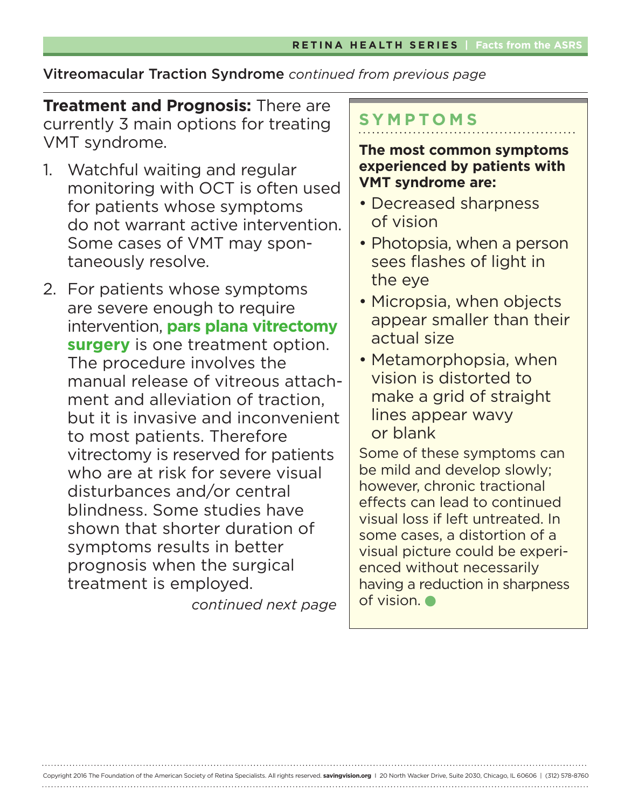**Treatment and Prognosis:** There are currently 3 main options for treating VMT syndrome.

- 1. Watchful waiting and regular monitoring with OCT is often used for patients whose symptoms do not warrant active intervention. Some cases of VMT may spontaneously resolve.
- 2. For patients whose symptoms are severe enough to require intervention, **pars plana vitrectomy surgery** is one treatment option. The procedure involves the manual release of vitreous attachment and alleviation of traction, but it is invasive and inconvenient to most patients. Therefore vitrectomy is reserved for patients who are at risk for severe visual disturbances and/or central blindness. Some studies have shown that shorter duration of symptoms results in better prognosis when the surgical treatment is employed.

*continued next page*

Copyright 2016 The Foundation of the American Society of Retina Specialists. All rights reserved. **savingvision.org** I 20 North Wacker Drive, Suite 2030, Chicago, IL 60606 | (312) 578-8760

## **SYMPTOMS**

**The most common symptoms experienced by patients with VMT syndrome are:**

- Decreased sharpness of vision
- Photopsia, when a person sees flashes of light in the eye
- Micropsia, when objects appear smaller than their actual size
- Metamorphopsia, when vision is distorted to make a grid of straight lines appear wavy or blank

Some of these symptoms can be mild and develop slowly; however, chronic tractional effects can lead to continued visual loss if left untreated. In some cases, a distortion of a visual picture could be experienced without necessarily having a reduction in sharpness of vision.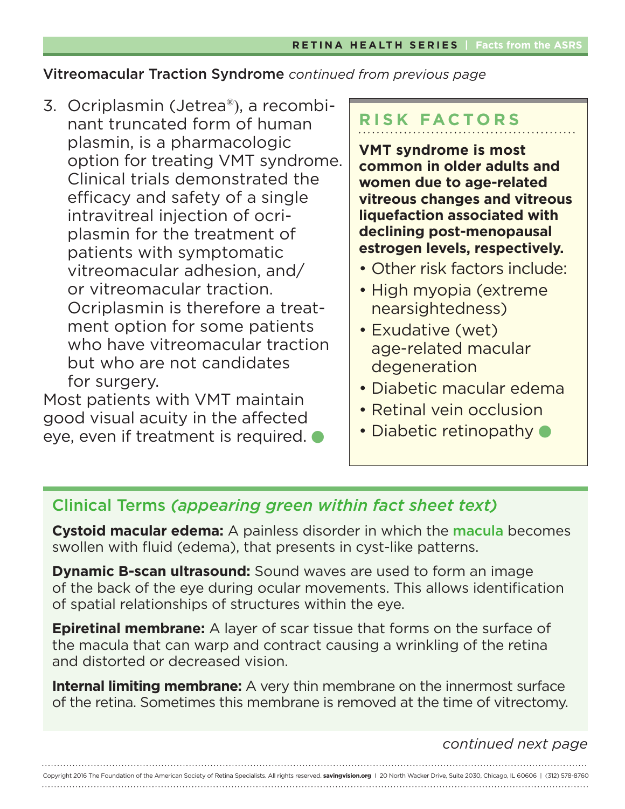3. Ocriplasmin (Jetrea®), a recombinant truncated form of human plasmin, is a pharmacologic option for treating VMT syndrome. Clinical trials demonstrated the efficacy and safety of a single intravitreal injection of ocriplasmin for the treatment of patients with symptomatic vitreomacular adhesion, and/ or vitreomacular traction. Ocriplasmin is therefore a treatment option for some patients who have vitreomacular traction but who are not candidates for surgery.

Most patients with VMT maintain good visual acuity in the affected eye, even if treatment is required.  $\bullet$ 

# **RISK FACTORS**

**VMT syndrome is most common in older adults and women due to age-related vitreous changes and vitreous liquefaction associated with declining post-menopausal estrogen levels, respectively.**

- Other risk factors include:
- High myopia (extreme nearsightedness)
- Exudative (wet) age-related macular degeneration
- Diabetic macular edema
- Retinal vein occlusion
- Diabetic retinopathy  $\bullet$

## Clinical Terms *(appearing green within fact sheet text)*

**Cystoid macular edema:** A painless disorder in which the macula becomes swollen with fluid (edema), that presents in cyst-like patterns.

**Dynamic B-scan ultrasound:** Sound waves are used to form an image of the back of the eye during ocular movements. This allows identification of spatial relationships of structures within the eye.

**Epiretinal membrane:** A layer of scar tissue that forms on the surface of the macula that can warp and contract causing a wrinkling of the retina and distorted or decreased vision.

**Internal limiting membrane:** A very thin membrane on the innermost surface of the retina. Sometimes this membrane is removed at the time of vitrectomy.

## *continued next page*

Copyright 2016 The Foundation of the American Society of Retina Specialists. All rights reserved. **savingvision.org** I 20 North Wacker Drive, Suite 2030, Chicago, IL 60606 | (312) 578-8760